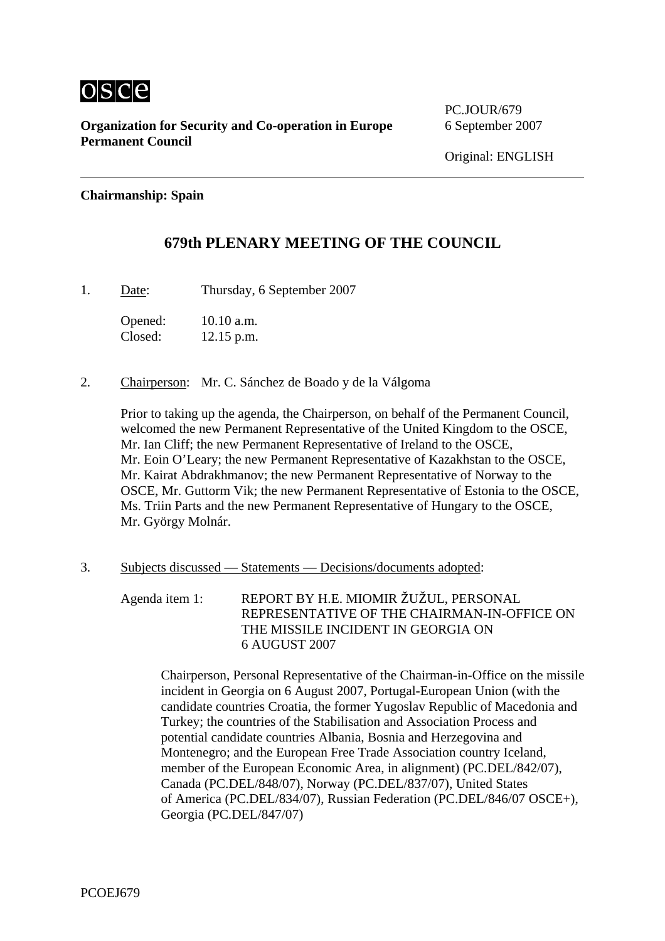

**Organization for Security and Co-operation in Europe** 6 September 2007 **Permanent Council** 

PC.JOUR/679

## **Chairmanship: Spain**

## **679th PLENARY MEETING OF THE COUNCIL**

1. Date: Thursday, 6 September 2007

Opened: 10.10 a.m. Closed: 12.15 p.m.

2. Chairperson: Mr. C. Sánchez de Boado y de la Válgoma

Prior to taking up the agenda, the Chairperson, on behalf of the Permanent Council, welcomed the new Permanent Representative of the United Kingdom to the OSCE, Mr. Ian Cliff; the new Permanent Representative of Ireland to the OSCE, Mr. Eoin O'Leary; the new Permanent Representative of Kazakhstan to the OSCE, Mr. Kairat Abdrakhmanov; the new Permanent Representative of Norway to the OSCE, Mr. Guttorm Vik; the new Permanent Representative of Estonia to the OSCE, Ms. Triin Parts and the new Permanent Representative of Hungary to the OSCE, Mr. György Molnár.

3. Subjects discussed — Statements — Decisions/documents adopted:

Agenda item 1: REPORT BY H.E. MIOMIR ŽUŽUL, PERSONAL REPRESENTATIVE OF THE CHAIRMAN-IN-OFFICE ON THE MISSILE INCIDENT IN GEORGIA ON 6 AUGUST 2007

Chairperson, Personal Representative of the Chairman-in-Office on the missile incident in Georgia on 6 August 2007, Portugal-European Union (with the candidate countries Croatia, the former Yugoslav Republic of Macedonia and Turkey; the countries of the Stabilisation and Association Process and potential candidate countries Albania, Bosnia and Herzegovina and Montenegro; and the European Free Trade Association country Iceland, member of the European Economic Area, in alignment) (PC.DEL/842/07), Canada (PC.DEL/848/07), Norway (PC.DEL/837/07), United States of America (PC.DEL/834/07), Russian Federation (PC.DEL/846/07 OSCE+), Georgia (PC.DEL/847/07)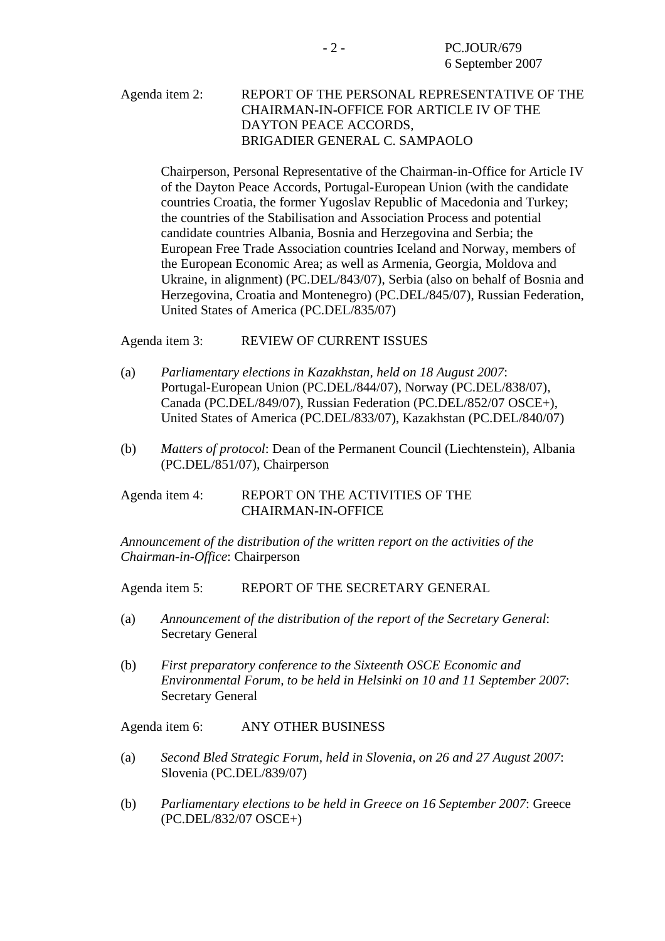## Agenda item 2: REPORT OF THE PERSONAL REPRESENTATIVE OF THE CHAIRMAN-IN-OFFICE FOR ARTICLE IV OF THE DAYTON PEACE ACCORDS, BRIGADIER GENERAL C. SAMPAOLO

Chairperson, Personal Representative of the Chairman-in-Office for Article IV of the Dayton Peace Accords, Portugal-European Union (with the candidate countries Croatia, the former Yugoslav Republic of Macedonia and Turkey; the countries of the Stabilisation and Association Process and potential candidate countries Albania, Bosnia and Herzegovina and Serbia; the European Free Trade Association countries Iceland and Norway, members of the European Economic Area; as well as Armenia, Georgia, Moldova and Ukraine, in alignment) (PC.DEL/843/07), Serbia (also on behalf of Bosnia and Herzegovina, Croatia and Montenegro) (PC.DEL/845/07), Russian Federation, United States of America (PC.DEL/835/07)

Agenda item 3: REVIEW OF CURRENT ISSUES

- (a) *Parliamentary elections in Kazakhstan, held on 18 August 2007*: Portugal-European Union (PC.DEL/844/07), Norway (PC.DEL/838/07), Canada (PC.DEL/849/07), Russian Federation (PC.DEL/852/07 OSCE+), United States of America (PC.DEL/833/07), Kazakhstan (PC.DEL/840/07)
- (b) *Matters of protocol*: Dean of the Permanent Council (Liechtenstein), Albania (PC.DEL/851/07), Chairperson

## Agenda item 4: REPORT ON THE ACTIVITIES OF THE CHAIRMAN-IN-OFFICE

*Announcement of the distribution of the written report on the activities of the Chairman-in-Office*: Chairperson

Agenda item 5: REPORT OF THE SECRETARY GENERAL

- (a) *Announcement of the distribution of the report of the Secretary General*: Secretary General
- (b) *First preparatory conference to the Sixteenth OSCE Economic and Environmental Forum, to be held in Helsinki on 10 and 11 September 2007*: Secretary General

Agenda item 6: ANY OTHER BUSINESS

- (a) *Second Bled Strategic Forum, held in Slovenia, on 26 and 27 August 2007*: Slovenia (PC.DEL/839/07)
- (b) *Parliamentary elections to be held in Greece on 16 September 2007*: Greece (PC.DEL/832/07 OSCE+)